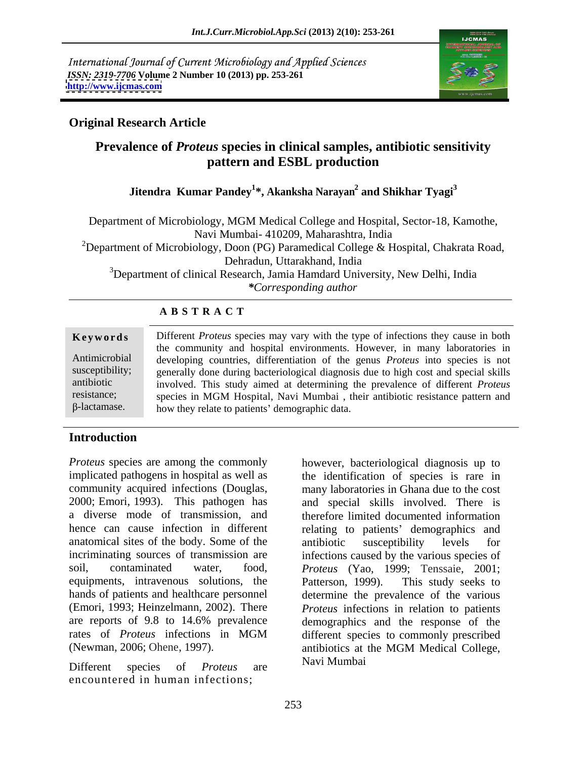International Journal of Current Microbiology and Applied Sciences *ISSN: 2319-7706* **Volume 2 Number 10 (2013) pp. 253-261 <http://www.ijcmas.com>**



# **Original Research Article**

# **Prevalence of** *Proteus* **species in clinical samples, antibiotic sensitivity pattern and ESBL production**

# **Jitendra Kumar Pandey<sup>1</sup> \*, Akanksha Narayan2 and Shikhar Tyagi3**

Department of Microbiology, MGM Medical College and Hospital, Sector-18, Kamothe, Navi Mumbai- 410209, Maharashtra, India <sup>2</sup>Department of Microbiology, Doon (PG) Paramedical College & Hospital, Chakrata Road, Dehradun, Uttarakhand, India <sup>3</sup>Department of clinical Research, Jamia Hamdard University, New Delhi, India *\*Corresponding author*

| <b>ABSTRACT</b> |  |  |
|-----------------|--|--|
|-----------------|--|--|

|                     | Keywords Different Proteus species may vary with the type of infections they cause in both          |  |  |
|---------------------|-----------------------------------------------------------------------------------------------------|--|--|
|                     | the community and hospital environments. However, in many laboratories in                           |  |  |
|                     | Antimicrobial developing countries, differentiation of the genus Proteus into species is not        |  |  |
|                     | susceptibility; generally done during bacteriological diagnosis due to high cost and special skills |  |  |
| antibiotic          | involved. This study aimed at determining the prevalence of different <i>Proteus</i>                |  |  |
| resistance;         | species in MGM Hospital, Navi Mumbai, their antibiotic resistance pattern and                       |  |  |
| $\beta$ -lactamase. | how they relate to patients' demographic data.                                                      |  |  |

# **Introduction**

*Proteus* species are among the commonly however, bacteriological diagnosis up to implicated pathogens in hospital as well as the identification of species is rare in community acquired infections (Douglas, many laboratories in Ghana due to the cost 2000; Emori, 1993). This pathogen has and special skills involved. There is a diverse mode of transmission, and therefore limited documented information hence can cause infection in different relating to patients' demographics and anatomical sites of the body. Some of the antibiotic susceptibility levels for incriminating sources of transmission are infections caused by the various species of soil, contaminated water, food, *Proteus* (Yao, 1999; Tenssaie, 2001; equipments, intravenous solutions, the Patterson, 1999). This study seeks to hands of patients and healthcare personnel determine the prevalence of the various (Emori, 1993; Heinzelmann, 2002). There *Proteus* infections in relation to patients are reports of 9.8 to 14.6% prevalence demographics and the response of the rates of *Proteus* infections in MGM (Newman, 2006; Ohene, 1997).

Different species of *Proteus* are encountered in human infections;

many laboratories in Ghana due to the cost and special skills involved. There is antibiotic susceptibility levels for Patterson, 1999). This study seeks to different species to commonly prescribed antibiotics at the MGM Medical College, Navi Mumbai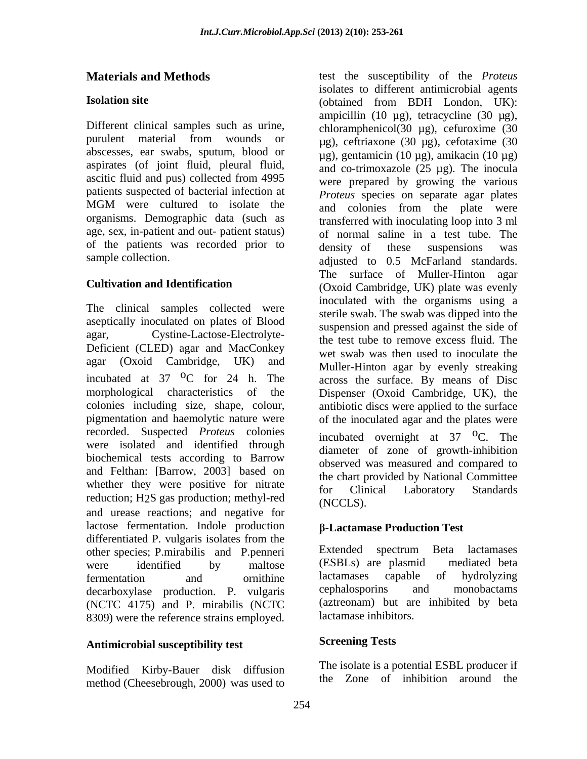Different clinical samples such as urine, aspirates (of joint fluid, pleural fluid, ascitic fluid and pus) collected from 4995 patients suspected of bacterial infection at age, sex, in-patient and out- patient status) of the patients was recorded prior to density of these suspensions was

The clinical samples collected were aseptically inoculated on plates of Blood Deficient (CLED) agar and MacConkey agar (Oxoid Cambridge, UK) and recorded. Suspected *Proteus* colonies were isolated and identified through biochemical tests according to Barrow and Felthan: [Barrow, 2003] based on whether they were positive for nitrate for Clinical Laboratory Standards reduction; H<sub>2</sub>S gas production; methyl-red (NCCLS). and urease reactions; and negative for lactose fermentation. Indole production <br> **B-Lactamase Production Test** differentiated P. vulgaris isolates from the<br>
other species: P mirabilis and P penneri<br>
Extended spectrum Beta lactamases other species; P.mirabilis and P.penneri<br>were identified by maltose (ESBLs) are plasmid mediated beta were identified by maltose (ESBLs) are plasmid mediated beta<br>fermentation and ornithine lactamases capable of hydrolyzing fermentation and ornithine lactamases capable of hydrolyzing decarboxylase production. P. vulgaris cephalosporins and monobactams (NCTC 4175) and P. mirabilis (NCTC 8309) were the reference strains employed.

# **Antimicrobial susceptibility test**

Modified Kirby-Bauer disk diffusion method (Cheesebrough, 2000) was used to

**Materials and Methods** test the susceptibility of the *Proteus* **Isolation site** (obtained from BDH London, UK): purulent material from wounds or  $\mu$ g) ceftriaxone (30  $\mu$ g) cefotaxime (30 abscesses, ear swabs, sputum, blood or  $\mu$ g), gentamicin (10  $\mu$ g), amikacin (10  $\mu$ g) MGM were cultured to isolate the  $\frac{1}{2}$  and colonies from the plate were organisms. Demographic data (such as transferred with inoculating loop into 3 ml sample collection. The adjusted to 0.5 McFarland standards. **Cultivation and Identification** (Oxoid Cambridge, UK) plate was evenly agar, Cystine-Lactose-Electrolyte-<br>the test tube to remove excess fluid. The incubated at  $37\text{ }^{\circ}$  C for  $24\text{ }$ h. The across the surface. By means of Disc morphological characteristics of the Dispenser (Oxoid Cambridge, UK), the colonies including size, shape, colour, antibiotic discs were applied to the surface pigmentation and haemolytic nature were of the inoculated agar and the plates were isolates to different antimicrobial agents ampicillin (10 µg), tetracycline (30 µg), chloramphenicol(30 µg), cefuroxime (30 µg), ceftriaxone (30 µg), cefotaxime (30 and co-trimoxazole (25 µg). The inocula were prepared by growing the various *Proteus* species on separate agar plates and colonies from the plate were of normal saline in a test tube. The density of these suspensions was The surface of Muller-Hinton agar inoculated with the organisms using a sterile swab. The swab was dipped into the suspension and pressed against the side of wet swab was then used to inoculate the Muller-Hinton agar by evenly streaking across the surface. By means of Disc incubated overnight at  $37 \, \text{°C}$ . The <sup>O</sup>C. The diameter of zone of growth-inhibition observed was measured and compared to the chart provided by National Committee for Clinical Laboratory Standards (NCCLS).

# **-Lactamase Production Test**

Extended spectrum Beta lactamases (ESBLs) are plasmid mediated beta lactamases capable of hydrolyzing cephalosporins and monobactams (aztreonam) but are inhibited by beta lactamase inhibitors.

# **Screening Tests**

The isolate is a potential ESBL producer if the Zone of inhibition around the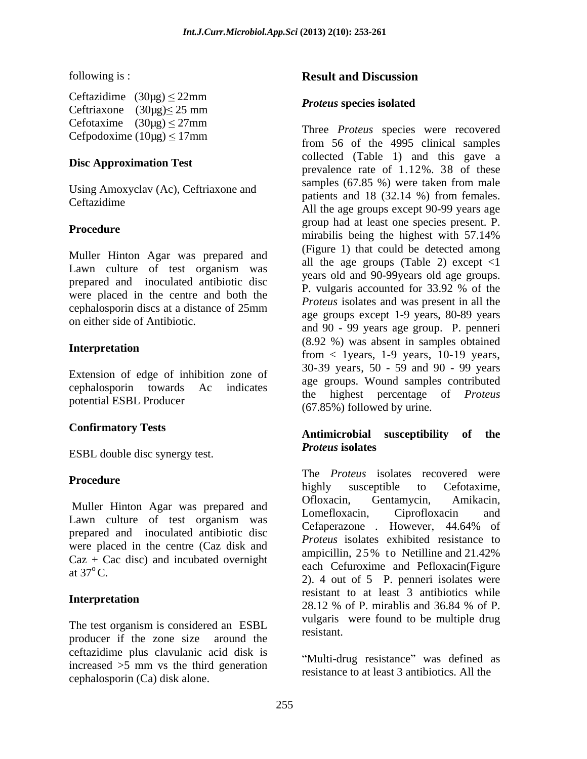Ceftazidime  $(30\mu g) \le 22\mu m$   $P_{\text{rotays}$  are isolated Ceftriaxone  $(30\mu g) \le 25$  mm  $Cefotaxime (30\mu g) \leq 27\,\text{mm}$ 

## **Disc Approximation Test**

Using Amoxyclav (Ac), Ceftriaxone and Ceftazidime

Muller Hinton Agar was prepared and Lawn culture of test organism was prepared and inoculated antibiotic disc<br>P. vulgaris accounted for 33.92 % of the were placed in the centre and both the

Extension of edge of inhibition zone of potential ESBL Producer

ESBL double disc synergy test. **Proteus isolates** 

Lawn culture of test organism was prepared and inoculated antibiotic disc were placed in the centre (Caz disk and<br>ampicillin, 25% to Netilline and 21.42%  $Caz + Cac$  disc) and incubated overnight

The test organism is considered an ESBL resistant. producer if the zone size around the ceftazidime plus clavulanic acid disk is increased  $>5$  mm vs the third generation<br>matrice of least 2 extinctives All the cephalosporin (Ca) disk alone.

### following is : **Result and Discussion Result and Discussion**

### *Proteus* **species isolated**

Cefpodoxime  $(10\mu g) \le 17$ mm  $f_{\text{com}}$  56 of the 4005 eliminal camples **Procedure** Evolp had at least one species present. 1.<br>mirabilis being the highest with 57.14% cephalosporin discs at a distance of  $25 \text{mm}$  are  $\frac{17 \text{ meters}}{2000 \text{ years}}$  and was present in an inc on either side of Antibiotic.<br>and  $90 - 99$  years age group. P. penneri **Interpretation** (0.22%) was absent in samples botanical<br>transference of the samples botanical cephalosporin towards Ac indicates the highest percentage of *Proteus* Three *Proteus* species were recovered from 56 of the 4995 clinical samples collected (Table 1) and this gave a prevalence rate of 1.12%. 38 of these samples (67.85 %) were taken from male patients and 18 (32.14 %) from females. All the age groups except 90-99 years age group had at least one species present. P. mirabilis being the highest with 57.14% (Figure 1) that could be detected among all the age groups (Table 2) except  $\langle 1 \rangle$ years old and 90-99years old age groups. P. vulgaris accounted for 33.92 % of the *Proteus* isolates and was present in all the age groups except 1-9 years, 80-89 years (8.92 %) was absent in samples obtained from  $\langle$  1 years, 1-9 years, 10-19 years, 30-39 years, 50 - 59 and 90 - 99 years age groups. Wound samples contributed (67.85%) followed by urine.

### **Confirmatory Tests Antimicrobial susceptibility of the**  *Proteus* **isolates**

**Procedure** and the *Procedure* were highly approximately to Cafatarine Muller Hinton Agar was prepared and Ofloxacin, Gentamycin, Amikacin,  $\begin{array}{ll}\n\text{cav} + \text{Cac disc} \\
\text{cav} + \text{Cac disc} \\
\text{cav} + \text{Cac disc} \\
\text{cav} + \text{Cac disc} \\
\text{cav} + \text{Cac disc} \\
\text{cav} + \text{Cac disc} \\
\text{cav} + \text{Cac disc} \\
\text{cav} + \text{Cac disc} \\
\text{cav} + \text{Cac disc} \\
\text{cav} + \text{Cac disc} \\
\text{cav} + \text{Cac disc} \\
\text{cav} + \text{Cac disc} \\
\text{cav} + \text{Cac disc} \\
\text{dav} + \text{Cac disc} \\
\text$ **Interpretation** and the set of the minimizer of the minimizer of the set of the set of the set of the set of the set of the set of the set of the set of the set of the set of the set of the set of the set of the set of th The *Proteus* isolates recovered were highly susceptible to Cefotaxime, Ofloxacin, Gentamycin, Amikacin, Lomefloxacin, Ciprofloxacin and Cefaperazone . However, 44.64% of *Proteus* isolates exhibited resistance to ampicillin, 25% to Netilline and 21.42% 2). 4 out of 5 P. penneri isolates were resistant to at least 3 antibiotics while 28.12 % of P. mirablis and 36.84 % of P. vulgaris were found to be multiple drug resistant.

> "Multi-drug resistance" was defined as resistance to at least 3 antibiotics. All the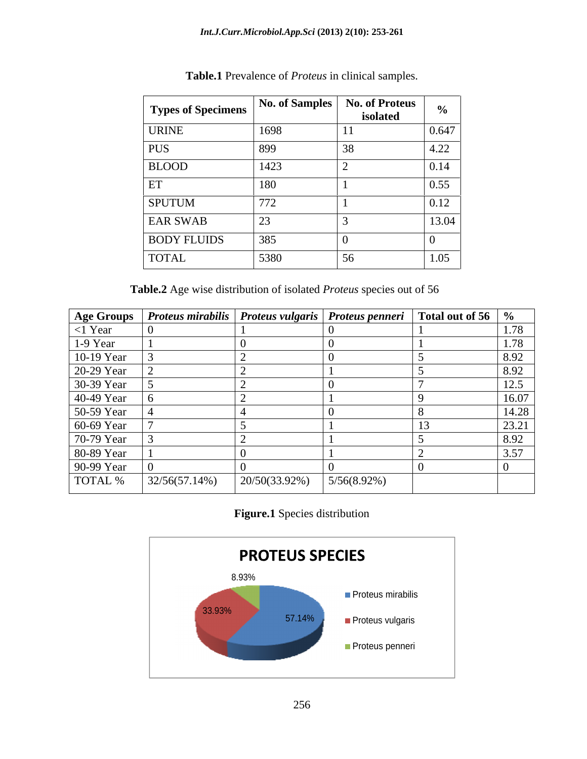| <b>Types of Specimens</b>   No. of Samples   No. of Proteus   $_{0/2}$ |               |            |        |
|------------------------------------------------------------------------|---------------|------------|--------|
|                                                                        |               | isolated   |        |
| <b>URINE</b>                                                           | 1698          | $\vert$ 11 |        |
|                                                                        | 899           |            |        |
| <b>BLOOD</b>                                                           | 1423          |            |        |
|                                                                        | 180           |            |        |
| <b>SPUTUM</b>                                                          | 772           |            |        |
| <b>EAR SWAB</b>                                                        | $\mathcal{L}$ |            | 13 O.A |
| <b>BODY FLUIDS</b>                                                     |               |            |        |
| <b>TOTAL</b>                                                           | 5380<br>,,,,  |            |        |

**Table.1** Prevalence of *Proteus* in clinical samples.

**Table.2** Age wise distribution of isolated *Proteus* species out of 56

|                                                                    | Age Groups Proteus mirabilis Proteus vulgaris Proteus penneri Total out of 56 % |  |  |
|--------------------------------------------------------------------|---------------------------------------------------------------------------------|--|--|
| $<$ 1 Year                                                         |                                                                                 |  |  |
| 1-9 Year                                                           |                                                                                 |  |  |
|                                                                    |                                                                                 |  |  |
| 10-19 Year<br>20-29 Year<br>30-39 Year<br>40-49 Year<br>50-59 Year |                                                                                 |  |  |
|                                                                    |                                                                                 |  |  |
|                                                                    |                                                                                 |  |  |
|                                                                    |                                                                                 |  |  |
|                                                                    |                                                                                 |  |  |
|                                                                    |                                                                                 |  |  |
|                                                                    |                                                                                 |  |  |
| 60-69 Year<br>70-79 Year<br>80-89 Year<br>90-99 Year               |                                                                                 |  |  |
|                                                                    |                                                                                 |  |  |

# **Figure.1** Species distribution

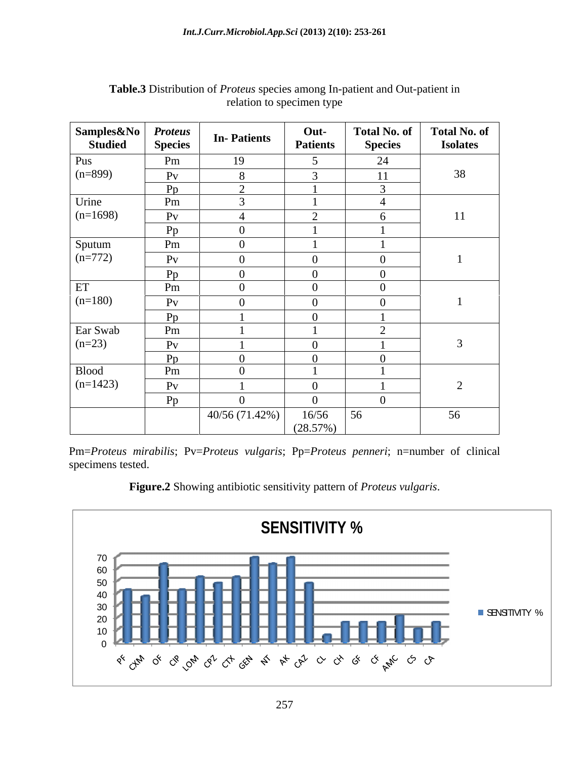| Samples&No          | <i>Proteus</i><br>Species | <b>In-Patients</b> | Out-<br><b>Patients</b>            | <b>Total No. of</b><br><b>Species</b> | <b>Total No. of</b><br><b>Isolates</b> |
|---------------------|---------------------------|--------------------|------------------------------------|---------------------------------------|----------------------------------------|
| Pus<br>$(n=899)$    | Pm                        | 19                 |                                    | 24                                    |                                        |
|                     | P <sub>V</sub>            | $\mathbf{O}$       | $\sim$                             | 11                                    | 38                                     |
|                     | Pp                        |                    |                                    |                                       |                                        |
| Urine               | Pm                        |                    |                                    |                                       |                                        |
| $(n=1698)$          | Pv                        |                    | $\sim$<br>$\overline{\phantom{0}}$ |                                       | 11                                     |
|                     | Pp                        |                    |                                    |                                       |                                        |
| Sputum<br>$(n=772)$ | Pm                        |                    |                                    |                                       |                                        |
|                     | $P_V$                     | $\Omega$           | $\theta$                           |                                       |                                        |
|                     | Pp                        |                    | $\overline{0}$                     | $\theta$                              |                                        |
| ET                  | Pm                        |                    | $\Omega$                           |                                       |                                        |
| $(n=180)$           | $P_V$                     |                    |                                    |                                       |                                        |
|                     | Pp                        |                    | $\Omega$                           |                                       |                                        |
| Ear Swab            | Pm                        |                    |                                    | $\overline{\phantom{0}}$              |                                        |
| $(n=23)$            | $P_V$                     |                    | $\Omega$                           |                                       |                                        |
|                     | Pp                        |                    | $\Omega$                           |                                       |                                        |
| Blood               | Pm                        |                    |                                    |                                       |                                        |
| $(n=1423)$          | $P_V$                     |                    | $\overline{0}$                     |                                       |                                        |
|                     | Pp                        |                    | $\Omega$                           | $\Omega$                              |                                        |
|                     |                           | 40/56(71.42%)      | 16/56                              | 56                                    | 56                                     |
|                     |                           |                    | (28.57%)                           |                                       |                                        |

## **Table.3** Distribution of *Proteus* species among In-patient and Out-patient in relation to specimen type

Pm=*Proteus mirabilis*; Pv=*Proteus vulgaris*; Pp=*Proteus penneri*; n=number of clinical specimens tested.



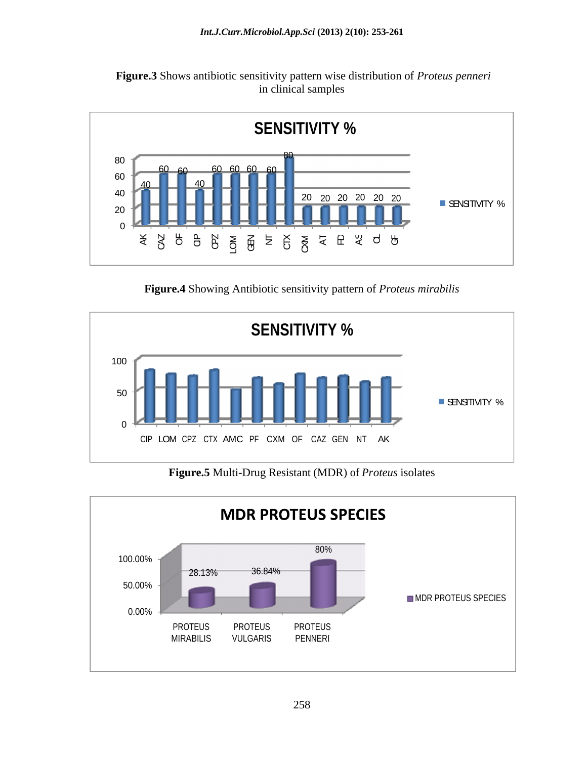



**Figure.4** Showing Antibiotic sensitivity pattern of *Proteus mirabilis*



**Figure.5** Multi-Drug Resistant (MDR) of *Proteus* isolates

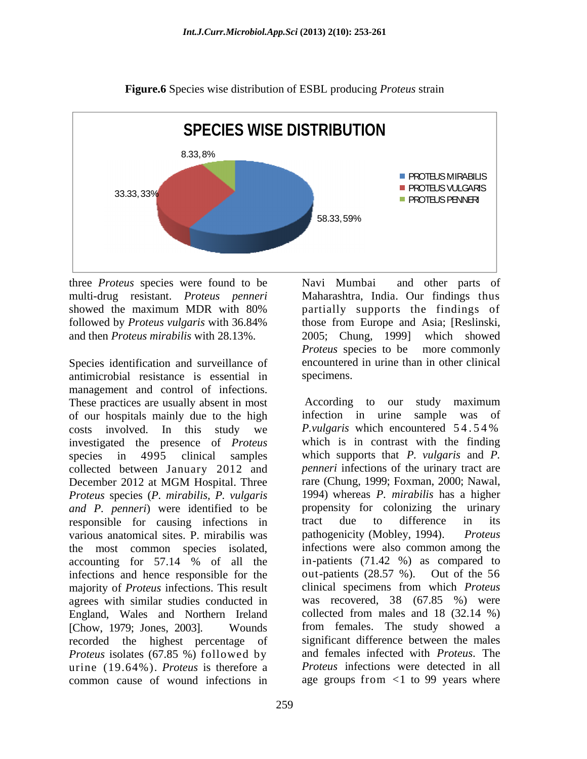

**Figure.6** Species wise distribution of ESBL producing *Proteus* strain

three *Proteus* species were found to be and then *Proteus mirabilis* with 28.13%.

Species identification and surveillance of antimicrobial resistance is essential in management and control of infections.<br>These practices are usually absent in most According to our study maximum of our hospitals mainly due to the high costs involved. In this study we *P. vulgaris* which encountered 54.54% investigated the presence of *Proteus* species in 4995 clinical samples collected between January 2012 and *penneri* infections of the urinary tract are December 2012 at MGM Hospital. Three rare (Chung, 1999; Foxman, 2000; Nawal, December 2012 at MGM Hospital. Three Trare (Chung, 1999; Foxman, 2000; Nawal, *Proteus* species (*P. mirabilis, P. vulgaris and P. penneri*) were identified to be responsible for causing infections in tract due to difference in its various anatomical sites. P. mirabilis was pathogenicity (Mobley, 1994). Proteus the most common species isolated, accounting for 57.14 % of all the in-patients (71.42 %) as compared to infections and hence responsible for the majority of *Proteus* infections. This result agrees with similar studies conducted in England, Wales and Northern Ireland [Chow, 1979; Jones, 2003]. Wounds from females. The study showed a recorded the highest percentage of *Proteus* isolates (67.85 %) followed by urine (19.64%). *Proteus* is therefore a common cause of wound infections in age groups from <1 to 99 years where

multi-drug resistant. *Proteus penneri* Maharashtra, India. Our findings thus showed the maximum MDR with 80% partially supports the findings of followed by *Proteus vulgaris* with 36.84% Navi Mumbai and other parts of partially supports the findings of those from Europe and Asia; [Reslinski, 2005; Chung, 1999] which showed *Proteus* species to be more commonly encountered in urine than in other clinical specimens.

> According to our study maximum infection in urine sample was of *P.vulgaris* which encountered 5 4 . 5 4 % which is in contrast with the finding which supports that *P. vulgaris* and *P. penneri* infections of the urinary tract are rare (Chung, 1999; Foxman, 2000; Nawal, 1994) whereas *P. mirabilis* has <sup>a</sup> higher propensity for colonizing the urinary tract due to difference in its pathogenicity (Mobley, 1994). infections were also common among the in-patients (71.42 %) as compared to out-patients (28.57 %). Out of the 56 clinical specimens from which *Proteus* was recovered, 38 (67.85 %) were collected from males and 18 (32.14 %) significant difference between the males and females infected with *Proteus*. The *Proteus* infections were detected in all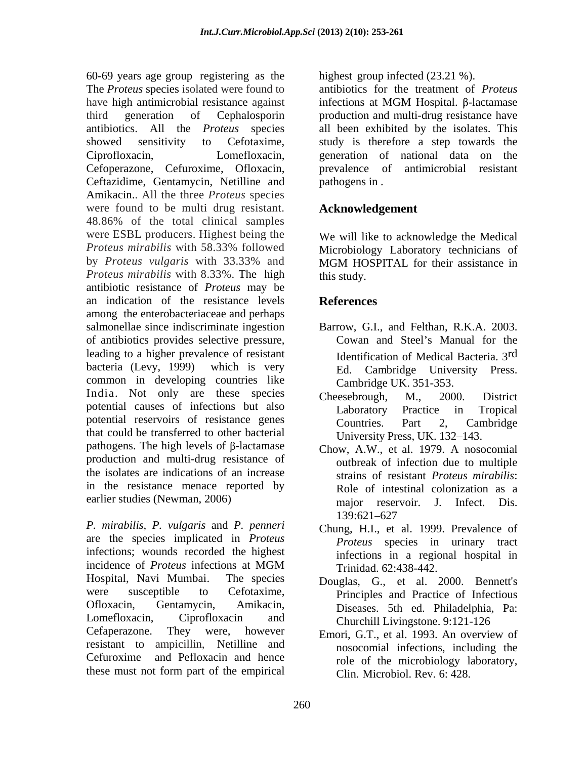60-69 years age group registering as the highest group infected (23.21 %). The *Proteus* species isolated were found to have high antimicrobial resistance against infections at MGM Hospital.  $\beta$ -lactamase third generation of Cephalosporin production and multi-drug resistance have antibiotics. All the *Proteus* species all been exhibited by the isolates. This showed sensitivity to Cefotaxime, study is therefore a step towards the Ciprofloxacin, Lomefloxacin, generation of national data on the Cefoperazone, Cefuroxime, Ofloxacin, Ceftazidime, Gentamycin, Netilline and Amikacin.. All the three *Proteus* species were found to be multi drug resistant. 48.86% of the total clinical samples were ESBL producers. Highest being the We will like to acknowledge the Medical *Proteus mirabilis* with 58.33% followed Microbiology Laboratory technicians of by *Proteus vulgaris* with 33.33% and *Proteus mirabilis* with 8.33%. The high antibiotic resistance of *Proteus* may be an indication of the resistance levels **References** among the enterobacteriaceae and perhaps salmonellae since indiscriminate ingestion Barrow, G.I., and Felthan, R.K.A. 2003. of antibiotics provides selective pressure, <br>leading to a higher prevalence of resistant and Identification of Medical Bacteria 3rd bacteria (Levy, 1999) which is very Ed. Cambridge University Press. common in developing countries like Cambridge UK. 351-353. India. Not only are these species cheesebrough. M., 2000. District potential causes of infections but also Laboratory Practice in Tropical potential reservoirs of resistance genes Countries. Part 2, Cambridge that could be transferred to other bacterial pathogens. The high levels of  $\beta$ -lactamase production and multi-drug resistance of the isolates are indications of an increase in the resistance menace reported by

*P. mirabilis, P. vulgaris* and *P. penneri* are the species implicated in *Proteus* infections; wounds recorded the highest incidence of *Proteus* infections at MGM Hospital, Navi Mumbai. The species Douglas, G., et al. 2000. Bennett's were susceptible to Cefotaxime, Principles and Practice of Infectious Ofloxacin, Gentamycin, Amikacin, Diseases. 5th ed. Philadelphia, Pa: Lomefloxacin, Ciprofloxacin and Churchill Livingstone 9:121-126 Cefaperazone. They were, however Emori, G.T., et al. 1993. An overview of resistant to ampicillin, Netilline and Cefuroxime and Pefloxacin and hence these must not form part of the empirical

antibiotics for the treatment of *Proteus* infections at MGM Hospital.  $\beta$ -lactamase antimicrobial resistant pathogens in .

# **Acknowledgement**

MGM HOSPITAL for their assistance in this study.

# **References**

- Cowan and Steel's Manual for the Identification of Medical Bacteria. 3<sup>rd</sup> rd Ed. Cambridge University Press. Cambridge UK. 351-353.
- Cheesebrough, M., 2000. District Laboratory Practice in Tropical Countries. Part 2, Cambridge University Press, UK. 132-143.
- earlier studies (Newman, 2006) major reservoir. J. Infect. Dis. Chow, A.W., et al. 1979. A nosocomial outbreak of infection due to multiple strains of resistant *Proteus mirabilis*: Role of intestinal colonization as a 139:621 627
	- Chung, H.I., et al. 1999. Prevalence of *Proteus* species in urinary tract infections in a regional hospital in Trinidad. 62:438-442.
	- Churchill Livingstone. 9:121-126
	- nosocomial infections, including the role of the microbiology laboratory, Clin. Microbiol. Rev. 6: 428.